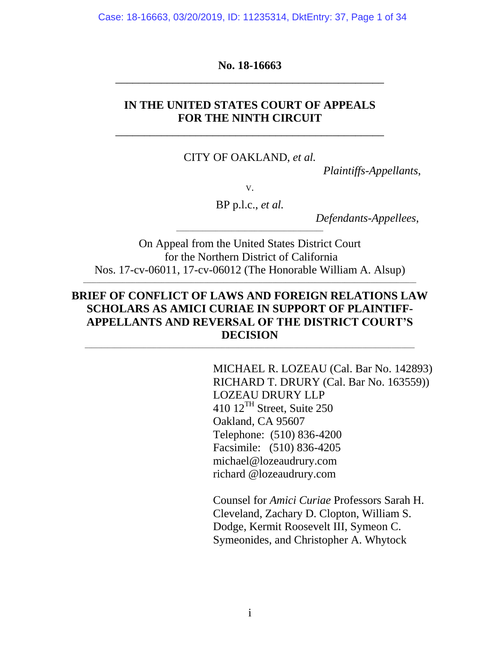Case: 18-16663, 03/20/2019, ID: 11235314, DktEntry: 37, Page 1 of 34

**No. 18-16663** \_\_\_\_\_\_\_\_\_\_\_\_\_\_\_\_\_\_\_\_\_\_\_\_\_\_\_\_\_\_\_\_\_\_\_\_\_\_\_\_\_\_\_\_\_\_\_

### **IN THE UNITED STATES COURT OF APPEALS FOR THE NINTH CIRCUIT**

\_\_\_\_\_\_\_\_\_\_\_\_\_\_\_\_\_\_\_\_\_\_\_\_\_\_\_\_\_\_\_\_\_\_\_\_\_\_\_\_\_\_\_\_\_\_\_

CITY OF OAKLAND, *et al.*

*Plaintiffs-Appellants*,

V.

BP p.l.c., *et al.*

\_\_\_\_\_\_\_\_\_\_\_\_\_\_\_\_\_\_\_\_\_\_\_\_\_\_\_\_\_\_\_\_\_\_\_\_\_\_\_\_\_\_\_\_\_

*Defendants-Appellees*,

On Appeal from the United States District Court for the Northern District of California Nos. 17-cv-06011, 17-cv-06012 (The Honorable William A. Alsup)

 $\_$  ,  $\_$  ,  $\_$  ,  $\_$  ,  $\_$  ,  $\_$  ,  $\_$  ,  $\_$  ,  $\_$  ,  $\_$  ,  $\_$  ,  $\_$  ,  $\_$  ,  $\_$  ,  $\_$  ,  $\_$  ,  $\_$  ,  $\_$  ,  $\_$  ,  $\_$  ,  $\_$  ,  $\_$  ,  $\_$  ,  $\_$  ,  $\_$  ,  $\_$  ,  $\_$  ,  $\_$  ,  $\_$  ,  $\_$  ,  $\_$  ,  $\_$  ,  $\_$  ,  $\_$  ,  $\_$  ,  $\_$  ,  $\_$  ,

### **BRIEF OF CONFLICT OF LAWS AND FOREIGN RELATIONS LAW SCHOLARS AS AMICI CURIAE IN SUPPORT OF PLAINTIFF-APPELLANTS AND REVERSAL OF THE DISTRICT COURT'S DECISION**

\_\_\_\_\_\_\_\_\_\_\_\_\_\_\_\_\_\_\_\_\_\_\_\_\_\_\_\_\_\_\_\_\_\_\_\_\_\_\_\_\_\_\_\_\_\_\_\_\_\_\_\_\_\_\_\_\_\_\_\_\_\_\_\_\_\_\_\_\_\_\_\_\_\_\_\_\_\_\_\_\_\_\_\_\_\_\_\_\_\_\_\_\_\_\_\_\_\_\_\_\_

MICHAEL R. LOZEAU (Cal. Bar No. 142893) RICHARD T. DRURY (Cal. Bar No. 163559)) LOZEAU DRURY LLP 410 12TH Street, Suite 250 Oakland, CA 95607 Telephone: (510) 836-4200 Facsimile: (510) 836-4205 michael@lozeaudrury.com richard @lozeaudrury.com

Counsel for *Amici Curiae* Professors Sarah H. Cleveland, Zachary D. Clopton, William S. Dodge, Kermit Roosevelt III, Symeon C. Symeonides, and Christopher A. Whytock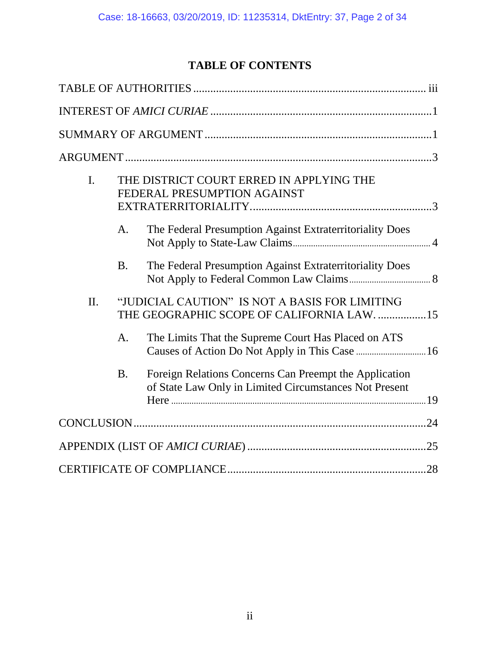# **TABLE OF CONTENTS**

| $\mathbf{I}$ . |                | THE DISTRICT COURT ERRED IN APPLYING THE<br>FEDERAL PRESUMPTION AGAINST                                          |  |
|----------------|----------------|------------------------------------------------------------------------------------------------------------------|--|
|                | A.             | The Federal Presumption Against Extraterritoriality Does                                                         |  |
|                | <b>B.</b>      | The Federal Presumption Against Extraterritoriality Does                                                         |  |
| II.            |                | "JUDICIAL CAUTION" IS NOT A BASIS FOR LIMITING<br>THE GEOGRAPHIC SCOPE OF CALIFORNIA LAW. 15                     |  |
|                | $\mathbf{A}$ . | The Limits That the Supreme Court Has Placed on ATS                                                              |  |
|                | <b>B.</b>      | Foreign Relations Concerns Can Preempt the Application<br>of State Law Only in Limited Circumstances Not Present |  |
|                |                |                                                                                                                  |  |
|                |                |                                                                                                                  |  |
|                |                |                                                                                                                  |  |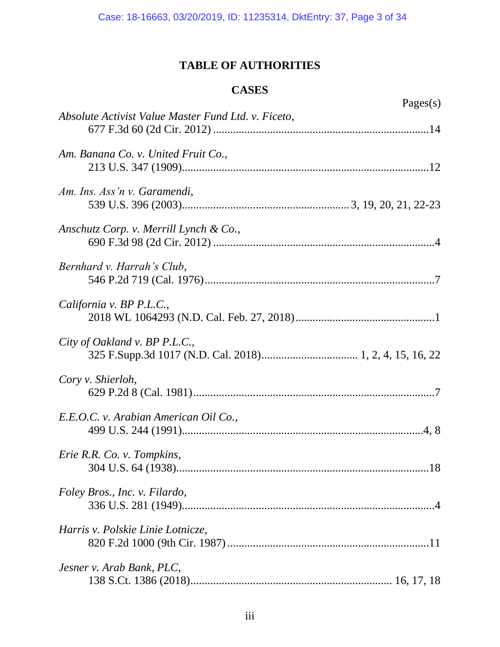# **TABLE OF AUTHORITIES**

# **CASES**

<span id="page-2-0"></span>

| Pages $(s)$                                         |
|-----------------------------------------------------|
| Absolute Activist Value Master Fund Ltd. v. Ficeto, |
| Am. Banana Co. v. United Fruit Co.,                 |
| Am. Ins. Ass'n v. Garamendi,                        |
| Anschutz Corp. v. Merrill Lynch & Co.,              |
| Bernhard v. Harrah's Club,                          |
| California v. BP P.L.C.,                            |
| City of Oakland v. BP P.L.C.,                       |
| Cory v. Shierloh,                                   |
| E.E.O.C. v. Arabian American Oil Co.,               |
| Erie R.R. Co. v. Tompkins,                          |
| Foley Bros., Inc. v. Filardo,                       |
| Harris v. Polskie Linie Lotnicze,                   |
| Jesner v. Arab Bank, PLC,                           |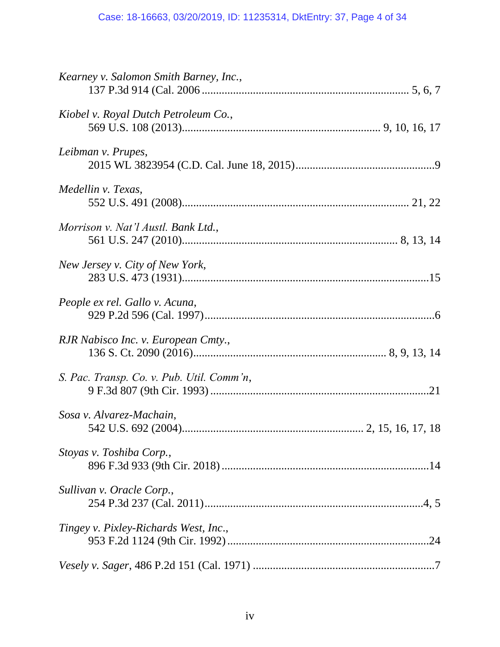| Kearney v. Salomon Smith Barney, Inc.,    |
|-------------------------------------------|
| Kiobel v. Royal Dutch Petroleum Co.,      |
| Leibman v. Prupes,                        |
| Medellin v. Texas,                        |
| Morrison v. Nat'l Austl. Bank Ltd.,       |
| New Jersey v. City of New York,           |
| People ex rel. Gallo v. Acuna,            |
| RJR Nabisco Inc. v. European Cmty.,       |
| S. Pac. Transp. Co. v. Pub. Util. Comm'n, |
| Sosa v. Alvarez-Machain,                  |
| Stoyas v. Toshiba Corp.,                  |
| Sullivan v. Oracle Corp.,                 |
| Tingey v. Pixley-Richards West, Inc.,     |
|                                           |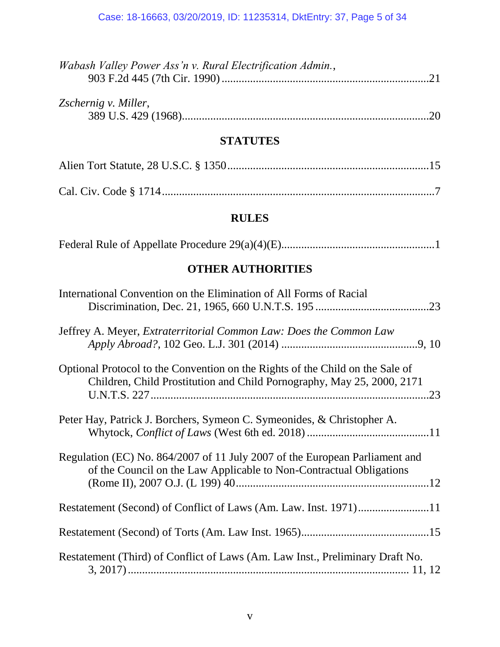| <i>Wabash Valley Power Ass'n v. Rural Electrification Admin.,</i> |  |
|-------------------------------------------------------------------|--|
|                                                                   |  |
|                                                                   |  |
| Zschernig v. Miller,                                              |  |

## **STATUTES**

# **RULES**

# **OTHER AUTHORITIES**

| International Convention on the Elimination of All Forms of Racial                                                                                      |
|---------------------------------------------------------------------------------------------------------------------------------------------------------|
| Jeffrey A. Meyer, <i>Extraterritorial Common Law: Does the Common Law</i>                                                                               |
| Optional Protocol to the Convention on the Rights of the Child on the Sale of<br>Children, Child Prostitution and Child Pornography, May 25, 2000, 2171 |
| Peter Hay, Patrick J. Borchers, Symeon C. Symeonides, & Christopher A.                                                                                  |
| Regulation (EC) No. 864/2007 of 11 July 2007 of the European Parliament and<br>of the Council on the Law Applicable to Non-Contractual Obligations      |
|                                                                                                                                                         |
|                                                                                                                                                         |
| Restatement (Third) of Conflict of Laws (Am. Law Inst., Preliminary Draft No.                                                                           |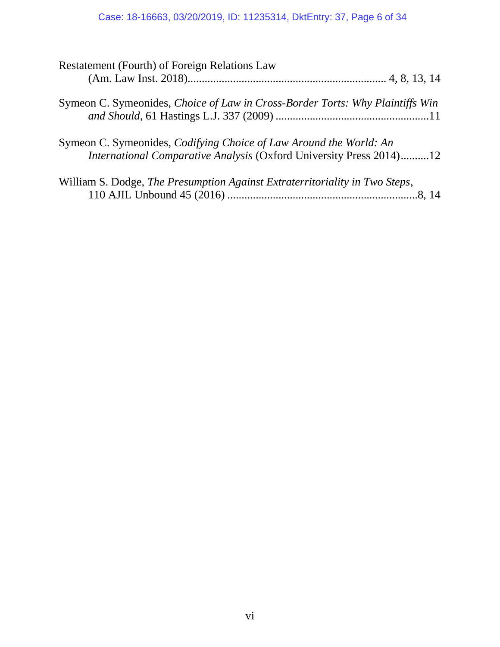# Case: 18-16663, 03/20/2019, ID: 11235314, DktEntry: 37, Page 6 of 34

| Restatement (Fourth) of Foreign Relations Law                                                                                                    |  |
|--------------------------------------------------------------------------------------------------------------------------------------------------|--|
|                                                                                                                                                  |  |
| Symeon C. Symeonides, Choice of Law in Cross-Border Torts: Why Plaintiffs Win                                                                    |  |
| Symeon C. Symeonides, <i>Codifying Choice of Law Around the World: An</i><br>International Comparative Analysis (Oxford University Press 2014)12 |  |
| William S. Dodge, The Presumption Against Extraterritoriality in Two Steps,                                                                      |  |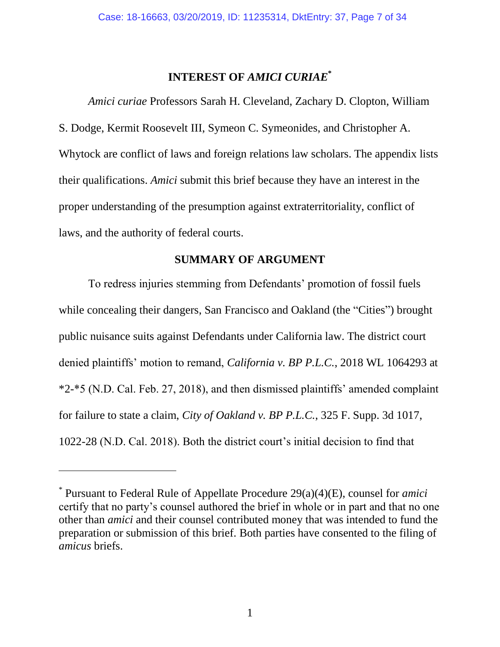### **INTEREST OF** *AMICI CURIAE***\***

<span id="page-6-0"></span>*Amici curiae* Professors Sarah H. Cleveland, Zachary D. Clopton, William S. Dodge, Kermit Roosevelt III, Symeon C. Symeonides, and Christopher A. Whytock are conflict of laws and foreign relations law scholars. The appendix lists their qualifications. *Amici* submit this brief because they have an interest in the proper understanding of the presumption against extraterritoriality, conflict of laws, and the authority of federal courts.

### **SUMMARY OF ARGUMENT**

<span id="page-6-1"></span>To redress injuries stemming from Defendants' promotion of fossil fuels while concealing their dangers, San Francisco and Oakland (the "Cities") brought public nuisance suits against Defendants under California law. The district court denied plaintiffs' motion to remand, *California v. BP P.L.C.*, 2018 WL 1064293 at \*2-\*5 (N.D. Cal. Feb. 27, 2018), and then dismissed plaintiffs' amended complaint for failure to state a claim, *City of Oakland v. BP P.L.C.*, 325 F. Supp. 3d 1017, 1022-28 (N.D. Cal. 2018). Both the district court's initial decision to find that

<sup>\*</sup> Pursuant to Federal Rule of Appellate Procedure 29(a)(4)(E), counsel for *amici* certify that no party's counsel authored the brief in whole or in part and that no one other than *amici* and their counsel contributed money that was intended to fund the preparation or submission of this brief. Both parties have consented to the filing of *amicus* briefs.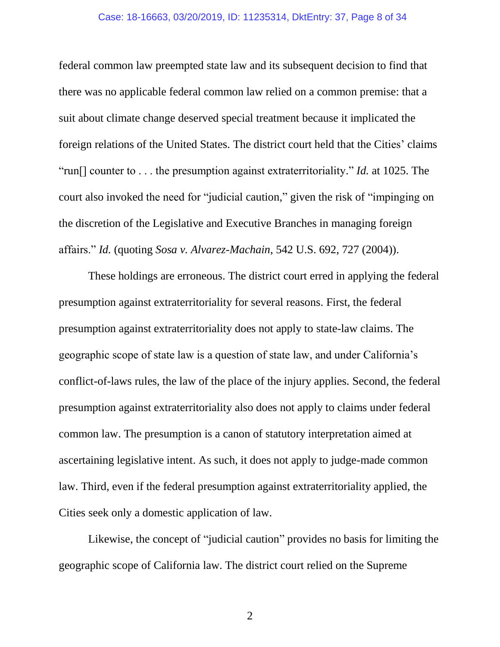#### Case: 18-16663, 03/20/2019, ID: 11235314, DktEntry: 37, Page 8 of 34

federal common law preempted state law and its subsequent decision to find that there was no applicable federal common law relied on a common premise: that a suit about climate change deserved special treatment because it implicated the foreign relations of the United States. The district court held that the Cities' claims "run[] counter to . . . the presumption against extraterritoriality." *Id.* at 1025. The court also invoked the need for "judicial caution," given the risk of "impinging on the discretion of the Legislative and Executive Branches in managing foreign affairs." *Id.* (quoting *Sosa v. Alvarez-Machain*, 542 U.S. 692, 727 (2004)).

These holdings are erroneous. The district court erred in applying the federal presumption against extraterritoriality for several reasons. First, the federal presumption against extraterritoriality does not apply to state-law claims. The geographic scope of state law is a question of state law, and under California's conflict-of-laws rules, the law of the place of the injury applies. Second, the federal presumption against extraterritoriality also does not apply to claims under federal common law. The presumption is a canon of statutory interpretation aimed at ascertaining legislative intent. As such, it does not apply to judge-made common law. Third, even if the federal presumption against extraterritoriality applied, the Cities seek only a domestic application of law.

Likewise, the concept of "judicial caution" provides no basis for limiting the geographic scope of California law. The district court relied on the Supreme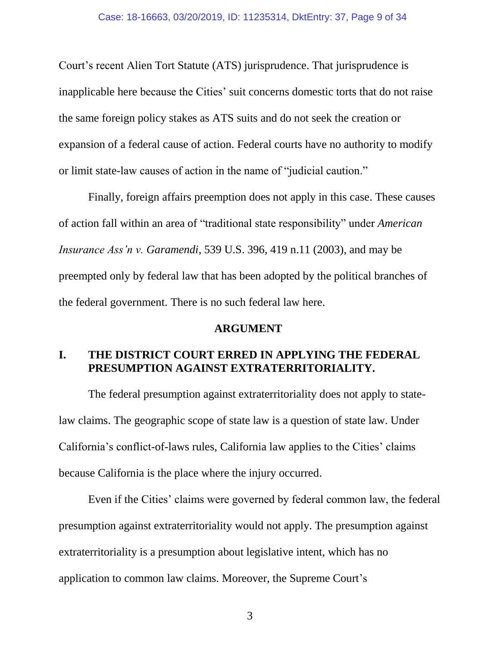Court's recent Alien Tort Statute (ATS) jurisprudence. That jurisprudence is inapplicable here because the Cities' suit concerns domestic torts that do not raise the same foreign policy stakes as ATS suits and do not seek the creation or expansion of a federal cause of action. Federal courts have no authority to modify or limit state-law causes of action in the name of "judicial caution."

Finally, foreign affairs preemption does not apply in this case. These causes of action fall within an area of "traditional state responsibility" under *American Insurance Ass'n v. Garamendi*, 539 U.S. 396, 419 n.11 (2003), and may be preempted only by federal law that has been adopted by the political branches of the federal government. There is no such federal law here.

### **ARGUMENT**

### **I. THE DISTRICT COURT ERRED IN APPLYING THE FEDERAL PRESUMPTION AGAINST EXTRATERRITORIALITY.**

The federal presumption against extraterritoriality does not apply to statelaw claims. The geographic scope of state law is a question of state law. Under California's conflict-of-laws rules, California law applies to the Cities' claims because California is the place where the injury occurred.

Even if the Cities' claims were governed by federal common law, the federal presumption against extraterritoriality would not apply. The presumption against extraterritoriality is a presumption about legislative intent, which has no application to common law claims. Moreover, the Supreme Court's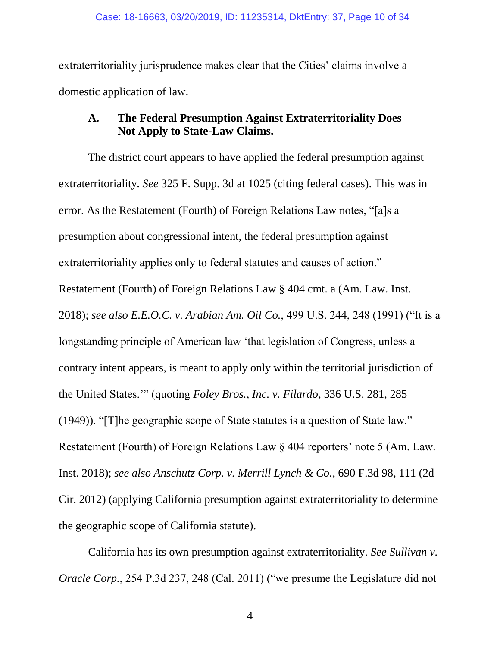extraterritoriality jurisprudence makes clear that the Cities' claims involve a domestic application of law.

### **A. The Federal Presumption Against Extraterritoriality Does Not Apply to State-Law Claims.**

The district court appears to have applied the federal presumption against extraterritoriality. *See* 325 F. Supp. 3d at 1025 (citing federal cases). This was in error. As the Restatement (Fourth) of Foreign Relations Law notes, "[a]s a presumption about congressional intent, the federal presumption against extraterritoriality applies only to federal statutes and causes of action." Restatement (Fourth) of Foreign Relations Law § 404 cmt. a (Am. Law. Inst. 2018); *see also E.E.O.C. v. Arabian Am. Oil Co.*, 499 U.S. 244, 248 (1991) ("It is a longstanding principle of American law 'that legislation of Congress, unless a contrary intent appears, is meant to apply only within the territorial jurisdiction of the United States.'" (quoting *Foley Bros., Inc. v. Filardo*, 336 U.S. 281, 285 (1949)). "[T]he geographic scope of State statutes is a question of State law." Restatement (Fourth) of Foreign Relations Law § 404 reporters' note 5 (Am. Law. Inst. 2018); *see also Anschutz Corp. v. Merrill Lynch & Co.*, 690 F.3d 98, 111 (2d Cir. 2012) (applying California presumption against extraterritoriality to determine the geographic scope of California statute).

California has its own presumption against extraterritoriality. *See Sullivan v. Oracle Corp.*, 254 P.3d 237, 248 (Cal. 2011) ("we presume the Legislature did not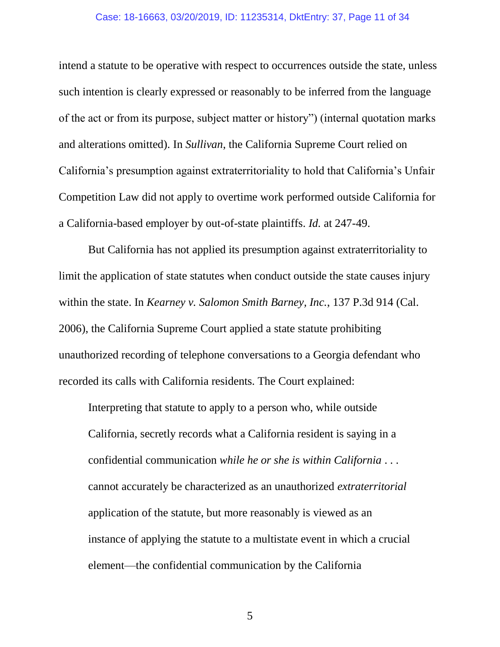#### Case: 18-16663, 03/20/2019, ID: 11235314, DktEntry: 37, Page 11 of 34

intend a statute to be operative with respect to occurrences outside the state, unless such intention is clearly expressed or reasonably to be inferred from the language of the act or from its purpose, subject matter or history") (internal quotation marks and alterations omitted). In *Sullivan*, the California Supreme Court relied on California's presumption against extraterritoriality to hold that California's Unfair Competition Law did not apply to overtime work performed outside California for a California-based employer by out-of-state plaintiffs. *Id.* at 247-49.

But California has not applied its presumption against extraterritoriality to limit the application of state statutes when conduct outside the state causes injury within the state. In *Kearney v. Salomon Smith Barney, Inc.*, 137 P.3d 914 (Cal. 2006), the California Supreme Court applied a state statute prohibiting unauthorized recording of telephone conversations to a Georgia defendant who recorded its calls with California residents. The Court explained:

Interpreting that statute to apply to a person who, while outside California, secretly records what a California resident is saying in a confidential communication *while he or she is within California* . . . cannot accurately be characterized as an unauthorized *extraterritorial* application of the statute, but more reasonably is viewed as an instance of applying the statute to a multistate event in which a crucial element—the confidential communication by the California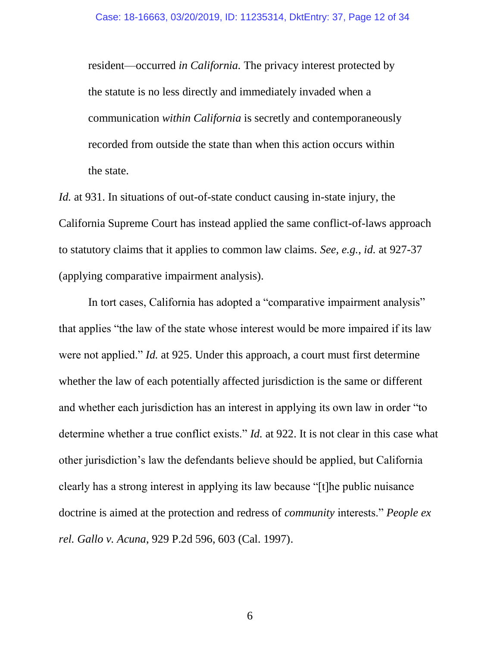resident—occurred *in California.* The privacy interest protected by the statute is no less directly and immediately invaded when a communication *within California* is secretly and contemporaneously recorded from outside the state than when this action occurs within the state.

*Id.* at 931. In situations of out-of-state conduct causing in-state injury, the California Supreme Court has instead applied the same conflict-of-laws approach to statutory claims that it applies to common law claims. *See, e.g.*, *id.* at 927-37 (applying comparative impairment analysis).

In tort cases, California has adopted a "comparative impairment analysis" that applies "the law of the state whose interest would be more impaired if its law were not applied." *Id.* at 925. Under this approach, a court must first determine whether the law of each potentially affected jurisdiction is the same or different and whether each jurisdiction has an interest in applying its own law in order "to determine whether a true conflict exists." *Id.* at 922. It is not clear in this case what other jurisdiction's law the defendants believe should be applied, but California clearly has a strong interest in applying its law because "[t]he public nuisance doctrine is aimed at the protection and redress of *community* interests." *People ex rel. Gallo v. Acuna*, 929 P.2d 596, 603 (Cal. 1997).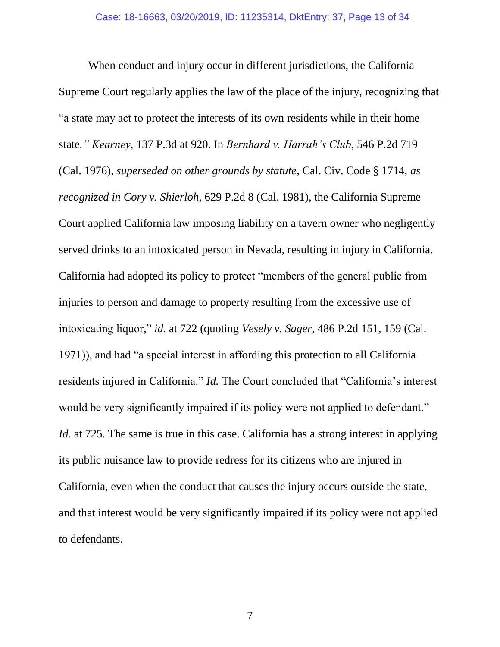When conduct and injury occur in different jurisdictions, the California Supreme Court regularly applies the law of the place of the injury, recognizing that "a state may act to protect the interests of its own residents while in their home state*." Kearney*, 137 P.3d at 920. In *Bernhard v. Harrah's Club*, 546 P.2d 719 (Cal. 1976), *superseded on other grounds by statute*, Cal. Civ. Code § 1714, *as recognized in Cory v. Shierloh*, 629 P.2d 8 (Cal. 1981), the California Supreme Court applied California law imposing liability on a tavern owner who negligently served drinks to an intoxicated person in Nevada, resulting in injury in California. California had adopted its policy to protect "members of the general public from injuries to person and damage to property resulting from the excessive use of intoxicating liquor," *id.* at 722 (quoting *Vesely v. Sager*, 486 P.2d 151, 159 (Cal. 1971)), and had "a special interest in affording this protection to all California residents injured in California." *Id.* The Court concluded that "California's interest would be very significantly impaired if its policy were not applied to defendant." *Id.* at 725. The same is true in this case. California has a strong interest in applying its public nuisance law to provide redress for its citizens who are injured in California, even when the conduct that causes the injury occurs outside the state, and that interest would be very significantly impaired if its policy were not applied to defendants.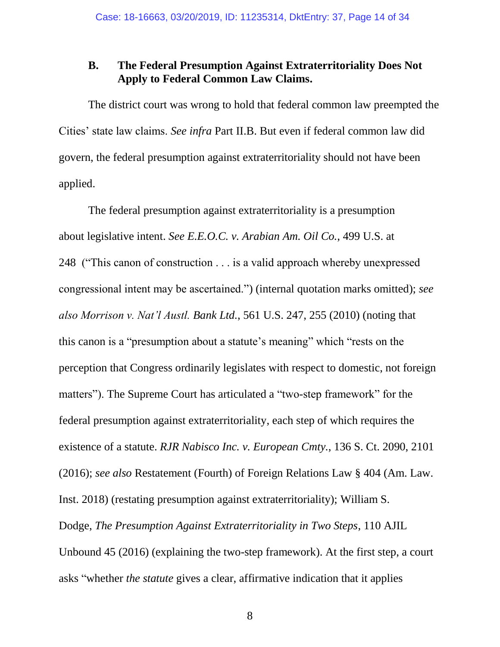### **B. The Federal Presumption Against Extraterritoriality Does Not Apply to Federal Common Law Claims.**

The district court was wrong to hold that federal common law preempted the Cities' state law claims. *See infra* Part II.B. But even if federal common law did govern, the federal presumption against extraterritoriality should not have been applied.

The federal presumption against extraterritoriality is a presumption about legislative intent. *See E.E.O.C. v. Arabian Am. Oil Co.*, 499 U.S. at 248 ("This canon of construction . . . is a valid approach whereby unexpressed congressional intent may be ascertained.") (internal quotation marks omitted); *see also Morrison v. Nat'l Austl. Bank Ltd.*, 561 U.S. 247, 255 (2010) (noting that this canon is a "presumption about a statute's meaning" which "rests on the perception that Congress ordinarily legislates with respect to domestic, not foreign matters"). The Supreme Court has articulated a "two-step framework" for the federal presumption against extraterritoriality, each step of which requires the existence of a statute. *RJR Nabisco Inc. v. European Cmty.*, 136 S. Ct. 2090, 2101 (2016); *see also* Restatement (Fourth) of Foreign Relations Law § 404 (Am. Law. Inst. 2018) (restating presumption against extraterritoriality); William S. Dodge, *The Presumption Against Extraterritoriality in Two Steps*, 110 AJIL Unbound 45 (2016) (explaining the two-step framework). At the first step, a court asks "whether *the statute* gives a clear, affirmative indication that it applies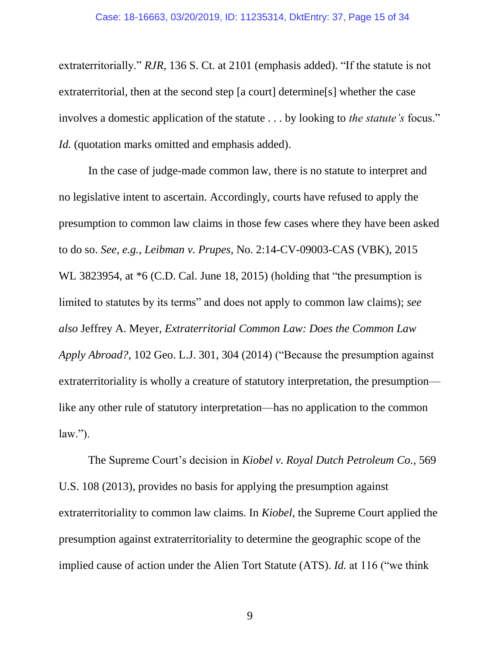extraterritorially." *RJR*, 136 S. Ct. at 2101 (emphasis added). "If the statute is not extraterritorial, then at the second step [a court] determine[s] whether the case involves a domestic application of the statute . . . by looking to *the statute's* focus." *Id.* (quotation marks omitted and emphasis added).

In the case of judge-made common law, there is no statute to interpret and no legislative intent to ascertain. Accordingly, courts have refused to apply the presumption to common law claims in those few cases where they have been asked to do so. *See, e.g.*, *Leibman v. Prupes*, No. 2:14-CV-09003-CAS (VBK), 2015 WL 3823954, at  $*6$  (C.D. Cal. June 18, 2015) (holding that "the presumption is limited to statutes by its terms" and does not apply to common law claims); *see also* Jeffrey A. Meyer, *Extraterritorial Common Law: Does the Common Law Apply Abroad?*, 102 Geo. L.J. 301, 304 (2014) ("Because the presumption against extraterritoriality is wholly a creature of statutory interpretation, the presumption like any other rule of statutory interpretation—has no application to the common  $law.'$ ).

The Supreme Court's decision in *Kiobel v. Royal Dutch Petroleum Co.*, 569 U.S. 108 (2013), provides no basis for applying the presumption against extraterritoriality to common law claims. In *Kiobel*, the Supreme Court applied the presumption against extraterritoriality to determine the geographic scope of the implied cause of action under the Alien Tort Statute (ATS). *Id.* at 116 ("we think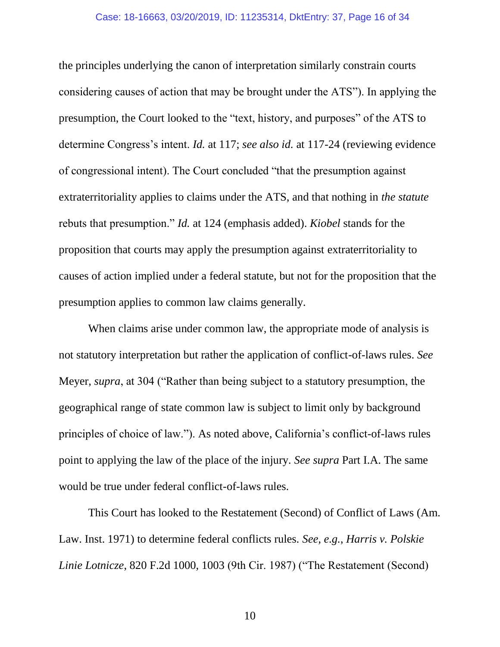the principles underlying the canon of interpretation similarly constrain courts considering causes of action that may be brought under the ATS"). In applying the presumption, the Court looked to the "text, history, and purposes" of the ATS to determine Congress's intent. *Id.* at 117; *see also id.* at 117-24 (reviewing evidence of congressional intent). The Court concluded "that the presumption against extraterritoriality applies to claims under the ATS, and that nothing in *the statute* rebuts that presumption." *Id.* at 124 (emphasis added). *Kiobel* stands for the proposition that courts may apply the presumption against extraterritoriality to causes of action implied under a federal statute, but not for the proposition that the presumption applies to common law claims generally.

When claims arise under common law, the appropriate mode of analysis is not statutory interpretation but rather the application of conflict-of-laws rules. *See* Meyer, *supra*, at 304 ("Rather than being subject to a statutory presumption, the geographical range of state common law is subject to limit only by background principles of choice of law."). As noted above, California's conflict-of-laws rules point to applying the law of the place of the injury. *See supra* Part I.A. The same would be true under federal conflict-of-laws rules.

This Court has looked to the Restatement (Second) of Conflict of Laws (Am. Law. Inst. 1971) to determine federal conflicts rules. *See, e.g.*, *Harris v. Polskie Linie Lotnicze*, 820 F.2d 1000, 1003 (9th Cir. 1987) ("The Restatement (Second)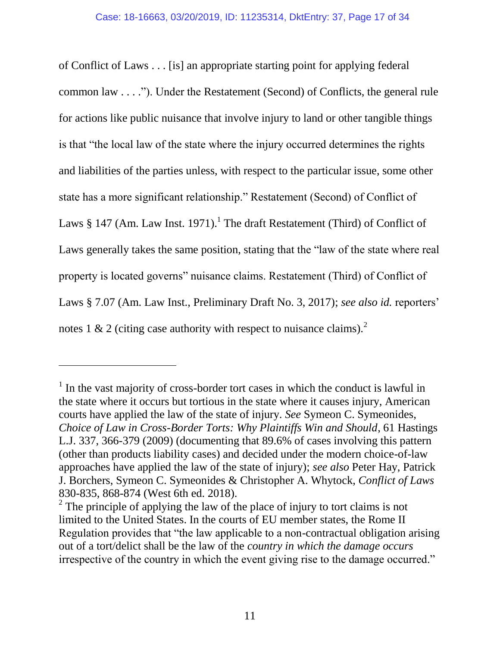of Conflict of Laws . . . [is] an appropriate starting point for applying federal common law . . . ."). Under the Restatement (Second) of Conflicts, the general rule for actions like public nuisance that involve injury to land or other tangible things is that "the local law of the state where the injury occurred determines the rights and liabilities of the parties unless, with respect to the particular issue, some other state has a more significant relationship." Restatement (Second) of Conflict of Laws § 147 (Am. Law Inst. 1971).<sup>1</sup> The draft Restatement (Third) of Conflict of Laws generally takes the same position, stating that the "law of the state where real property is located governs" nuisance claims. Restatement (Third) of Conflict of Laws § 7.07 (Am. Law Inst., Preliminary Draft No. 3, 2017); *see also id.* reporters' notes 1 & 2 (citing case authority with respect to nuisance claims).<sup>2</sup>

<sup>&</sup>lt;sup>1</sup> In the vast majority of cross-border tort cases in which the conduct is lawful in the state where it occurs but tortious in the state where it causes injury, American courts have applied the law of the state of injury. *See* Symeon C. Symeonides, *Choice of Law in Cross-Border Torts: Why Plaintiffs Win and Should*, 61 Hastings L.J. 337, 366-379 (2009) (documenting that 89.6% of cases involving this pattern (other than products liability cases) and decided under the modern choice-of-law approaches have applied the law of the state of injury); *see also* Peter Hay, Patrick J. Borchers, Symeon C. Symeonides & Christopher A. Whytock, *Conflict of Laws* 830-835, 868-874 (West 6th ed. 2018).

 $2^2$  The principle of applying the law of the place of injury to tort claims is not limited to the United States. In the courts of EU member states, the Rome II Regulation provides that "the law applicable to a non-contractual obligation arising out of a tort/delict shall be the law of the *country in which the damage occurs* irrespective of the country in which the event giving rise to the damage occurred."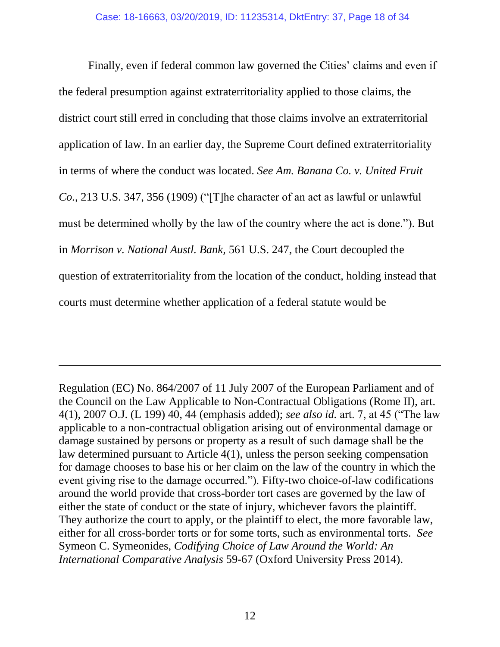Finally, even if federal common law governed the Cities' claims and even if the federal presumption against extraterritoriality applied to those claims, the district court still erred in concluding that those claims involve an extraterritorial application of law. In an earlier day, the Supreme Court defined extraterritoriality in terms of where the conduct was located. *See Am. Banana Co. v. United Fruit Co.*, 213 U.S. 347, 356 (1909) ("[T]he character of an act as lawful or unlawful must be determined wholly by the law of the country where the act is done."). But in *Morrison v. National Austl. Bank,* 561 U.S. 247, the Court decoupled the question of extraterritoriality from the location of the conduct, holding instead that courts must determine whether application of a federal statute would be

Regulation (EC) No. 864/2007 of 11 July 2007 of the European Parliament and of the Council on the Law Applicable to Non-Contractual Obligations (Rome II), art. 4(1), 2007 O.J. (L 199) 40, 44 (emphasis added); *see also id.* art. 7, at 45 ("The law applicable to a non-contractual obligation arising out of environmental damage or damage sustained by persons or property as a result of such damage shall be the law determined pursuant to Article 4(1), unless the person seeking compensation for damage chooses to base his or her claim on the law of the country in which the event giving rise to the damage occurred."). Fifty-two choice-of-law codifications around the world provide that cross-border tort cases are governed by the law of either the state of conduct or the state of injury, whichever favors the plaintiff. They authorize the court to apply, or the plaintiff to elect, the more favorable law, either for all cross-border torts or for some torts, such as environmental torts. *See* Symeon C. Symeonides, *Codifying Choice of Law Around the World: An International Comparative Analysis* 59-67 (Oxford University Press 2014).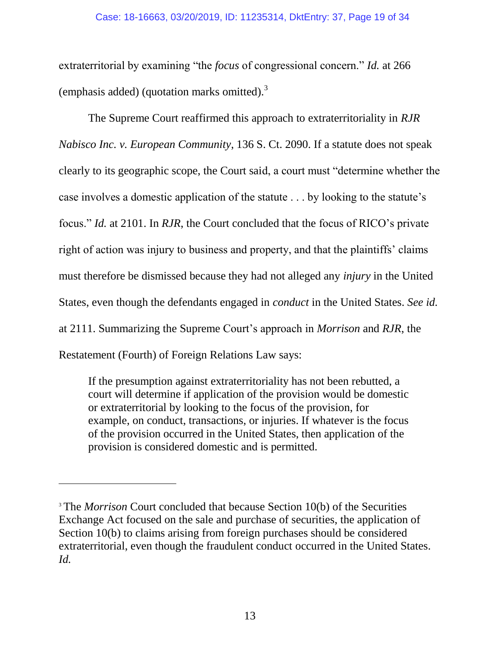extraterritorial by examining "the *focus* of congressional concern." *Id.* at 266 (emphasis added) (quotation marks omitted).<sup>3</sup>

The Supreme Court reaffirmed this approach to extraterritoriality in *RJR Nabisco Inc. v. European Community*, 136 S. Ct. 2090. If a statute does not speak clearly to its geographic scope, the Court said, a court must "determine whether the case involves a domestic application of the statute . . . by looking to the statute's focus." *Id.* at 2101. In *RJR*, the Court concluded that the focus of RICO's private right of action was injury to business and property, and that the plaintiffs' claims must therefore be dismissed because they had not alleged any *injury* in the United States, even though the defendants engaged in *conduct* in the United States. *See id.* at 2111. Summarizing the Supreme Court's approach in *Morrison* and *RJR*, the Restatement (Fourth) of Foreign Relations Law says:

If the presumption against extraterritoriality has not been rebutted, a court will determine if application of the provision would be domestic or extraterritorial by looking to the focus of the provision, for example, on conduct, transactions, or injuries. If whatever is the focus of the provision occurred in the United States, then application of the provision is considered domestic and is permitted.

<sup>&</sup>lt;sup>3</sup> The *Morrison* Court concluded that because Section 10(b) of the Securities Exchange Act focused on the sale and purchase of securities, the application of Section 10(b) to claims arising from foreign purchases should be considered extraterritorial, even though the fraudulent conduct occurred in the United States. *Id.*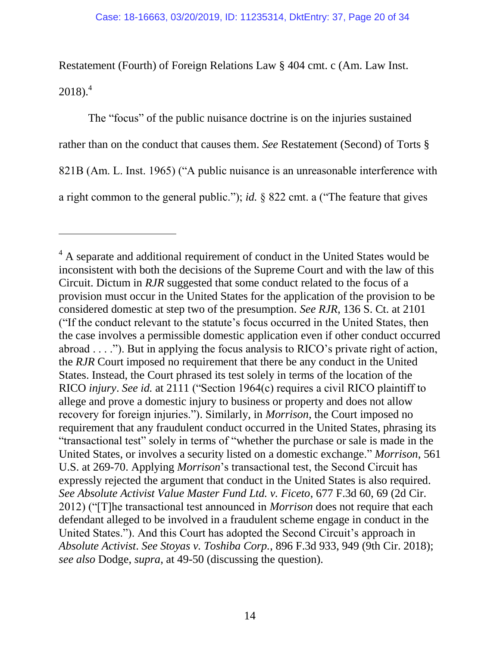Restatement (Fourth) of Foreign Relations Law § 404 cmt. c (Am. Law Inst.  $2018$ .<sup>4</sup>

The "focus" of the public nuisance doctrine is on the injuries sustained rather than on the conduct that causes them. *See* Restatement (Second) of Torts § 821B (Am. L. Inst. 1965) ("A public nuisance is an unreasonable interference with a right common to the general public."); *id.* § 822 cmt. a ("The feature that gives

<sup>&</sup>lt;sup>4</sup> A separate and additional requirement of conduct in the United States would be inconsistent with both the decisions of the Supreme Court and with the law of this Circuit. Dictum in *RJR* suggested that some conduct related to the focus of a provision must occur in the United States for the application of the provision to be considered domestic at step two of the presumption. *See RJR*, 136 S. Ct. at 2101 ("If the conduct relevant to the statute's focus occurred in the United States, then the case involves a permissible domestic application even if other conduct occurred abroad . . . ."). But in applying the focus analysis to RICO's private right of action, the *RJR* Court imposed no requirement that there be any conduct in the United States. Instead, the Court phrased its test solely in terms of the location of the RICO *injury*. *See id.* at 2111 ("Section 1964(c) requires a civil RICO plaintiff to allege and prove a domestic injury to business or property and does not allow recovery for foreign injuries."). Similarly, in *Morrison*, the Court imposed no requirement that any fraudulent conduct occurred in the United States, phrasing its "transactional test" solely in terms of "whether the purchase or sale is made in the United States, or involves a security listed on a domestic exchange." *Morrison*, 561 U.S. at 269-70. Applying *Morrison*'s transactional test, the Second Circuit has expressly rejected the argument that conduct in the United States is also required. *See Absolute Activist Value Master Fund Ltd. v. Ficeto*, 677 F.3d 60, 69 (2d Cir. 2012) ("[T]he transactional test announced in *Morrison* does not require that each defendant alleged to be involved in a fraudulent scheme engage in conduct in the United States."). And this Court has adopted the Second Circuit's approach in *Absolute Activist*. *See Stoyas v. Toshiba Corp.*, 896 F.3d 933, 949 (9th Cir. 2018); *see also* Dodge, *supra*, at 49-50 (discussing the question).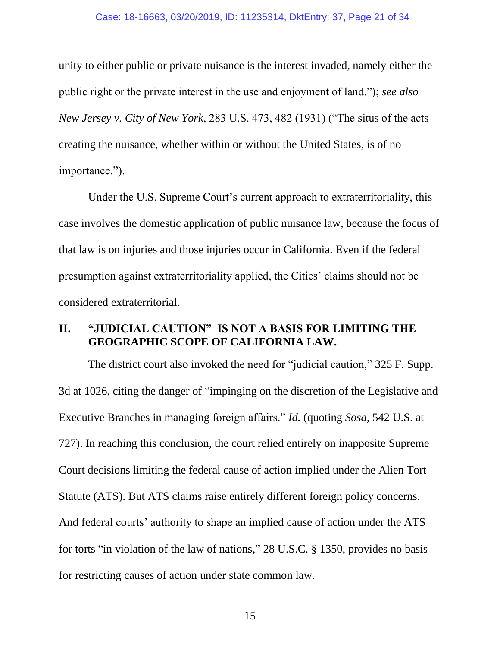#### Case: 18-16663, 03/20/2019, ID: 11235314, DktEntry: 37, Page 21 of 34

unity to either public or private nuisance is the interest invaded, namely either the public right or the private interest in the use and enjoyment of land."); *see also New Jersey v. City of New York*, 283 U.S. 473, 482 (1931) ("The situs of the acts creating the nuisance, whether within or without the United States, is of no importance.").

Under the U.S. Supreme Court's current approach to extraterritoriality, this case involves the domestic application of public nuisance law, because the focus of that law is on injuries and those injuries occur in California. Even if the federal presumption against extraterritoriality applied, the Cities' claims should not be considered extraterritorial.

### <span id="page-20-0"></span>**II. "JUDICIAL CAUTION" IS NOT A BASIS FOR LIMITING THE GEOGRAPHIC SCOPE OF CALIFORNIA LAW.**

The district court also invoked the need for "judicial caution," 325 F. Supp. 3d at 1026, citing the danger of "impinging on the discretion of the Legislative and Executive Branches in managing foreign affairs." *Id.* (quoting *Sosa*, 542 U.S. at 727). In reaching this conclusion, the court relied entirely on inapposite Supreme Court decisions limiting the federal cause of action implied under the Alien Tort Statute (ATS). But ATS claims raise entirely different foreign policy concerns. And federal courts' authority to shape an implied cause of action under the ATS for torts "in violation of the law of nations," 28 U.S.C. § 1350, provides no basis for restricting causes of action under state common law.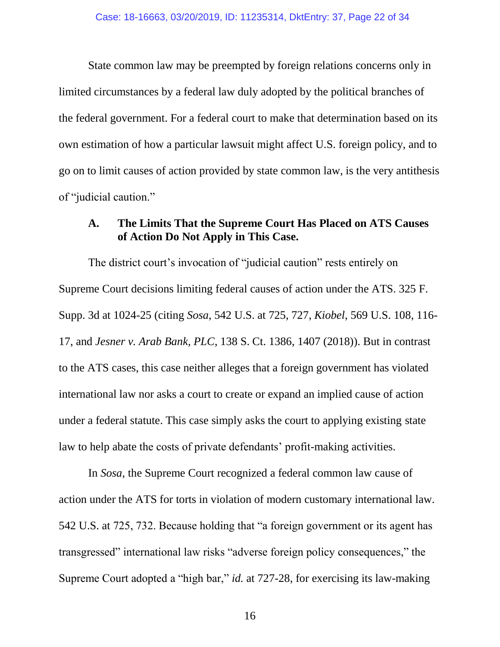State common law may be preempted by foreign relations concerns only in limited circumstances by a federal law duly adopted by the political branches of the federal government. For a federal court to make that determination based on its own estimation of how a particular lawsuit might affect U.S. foreign policy, and to go on to limit causes of action provided by state common law, is the very antithesis of "judicial caution."

### **A. The Limits That the Supreme Court Has Placed on ATS Causes of Action Do Not Apply in This Case.**

The district court's invocation of "judicial caution" rests entirely on Supreme Court decisions limiting federal causes of action under the ATS. 325 F. Supp. 3d at 1024-25 (citing *Sosa*, 542 U.S. at 725, 727, *Kiobel*, 569 U.S. 108, 116- 17, and *Jesner v. Arab Bank, PLC*, 138 S. Ct. 1386, 1407 (2018)). But in contrast to the ATS cases, this case neither alleges that a foreign government has violated international law nor asks a court to create or expand an implied cause of action under a federal statute. This case simply asks the court to applying existing state law to help abate the costs of private defendants' profit-making activities.

In *Sosa*, the Supreme Court recognized a federal common law cause of action under the ATS for torts in violation of modern customary international law. 542 U.S. at 725, 732. Because holding that "a foreign government or its agent has transgressed" international law risks "adverse foreign policy consequences," the Supreme Court adopted a "high bar," *id.* at 727-28, for exercising its law-making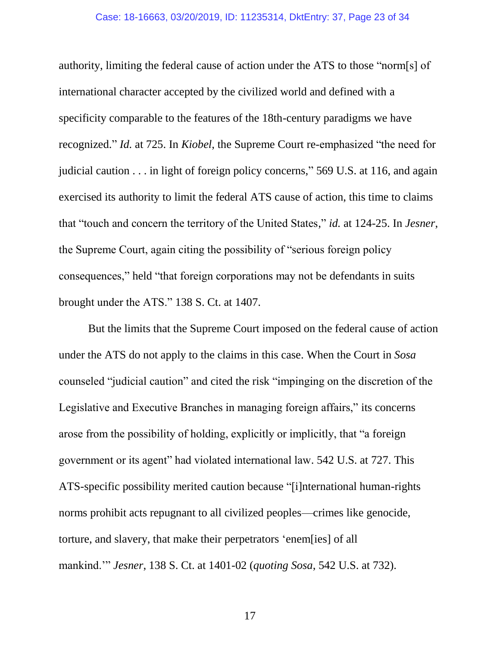#### Case: 18-16663, 03/20/2019, ID: 11235314, DktEntry: 37, Page 23 of 34

authority, limiting the federal cause of action under the ATS to those "norm[s] of international character accepted by the civilized world and defined with a specificity comparable to the features of the 18th-century paradigms we have recognized." *Id.* at 725. In *Kiobel*, the Supreme Court re-emphasized "the need for judicial caution . . . in light of foreign policy concerns," 569 U.S. at 116, and again exercised its authority to limit the federal ATS cause of action, this time to claims that "touch and concern the territory of the United States," *id.* at 124-25. In *Jesner*, the Supreme Court, again citing the possibility of "serious foreign policy consequences," held "that foreign corporations may not be defendants in suits brought under the ATS." 138 S. Ct. at 1407.

But the limits that the Supreme Court imposed on the federal cause of action under the ATS do not apply to the claims in this case. When the Court in *Sosa* counseled "judicial caution" and cited the risk "impinging on the discretion of the Legislative and Executive Branches in managing foreign affairs," its concerns arose from the possibility of holding, explicitly or implicitly, that "a foreign government or its agent" had violated international law. 542 U.S. at 727. This ATS-specific possibility merited caution because "[i]nternational human-rights norms prohibit acts repugnant to all civilized peoples—crimes like genocide, torture, and slavery, that make their perpetrators 'enem[ies] of all mankind.'" *Jesner*, 138 S. Ct. at 1401-02 (*quoting Sosa*, 542 U.S. at 732).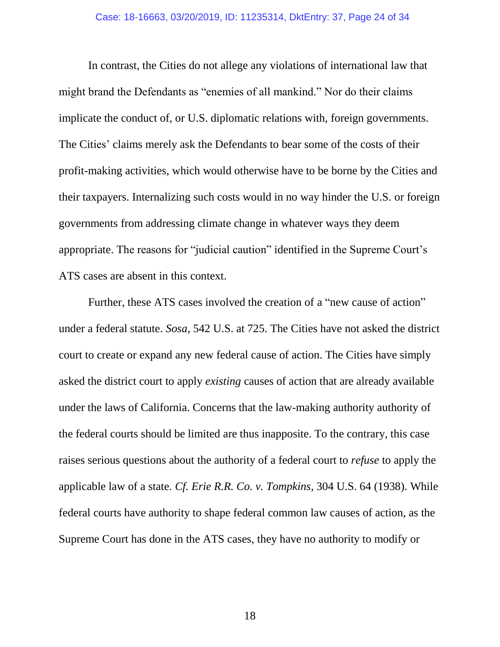In contrast, the Cities do not allege any violations of international law that might brand the Defendants as "enemies of all mankind." Nor do their claims implicate the conduct of, or U.S. diplomatic relations with, foreign governments. The Cities' claims merely ask the Defendants to bear some of the costs of their profit-making activities, which would otherwise have to be borne by the Cities and their taxpayers. Internalizing such costs would in no way hinder the U.S. or foreign governments from addressing climate change in whatever ways they deem appropriate. The reasons for "judicial caution" identified in the Supreme Court's ATS cases are absent in this context.

Further, these ATS cases involved the creation of a "new cause of action" under a federal statute. *Sosa*, 542 U.S. at 725. The Cities have not asked the district court to create or expand any new federal cause of action. The Cities have simply asked the district court to apply *existing* causes of action that are already available under the laws of California. Concerns that the law-making authority authority of the federal courts should be limited are thus inapposite. To the contrary, this case raises serious questions about the authority of a federal court to *refuse* to apply the applicable law of a state. *Cf. Erie R.R. Co. v. Tompkins*, 304 U.S. 64 (1938). While federal courts have authority to shape federal common law causes of action, as the Supreme Court has done in the ATS cases, they have no authority to modify or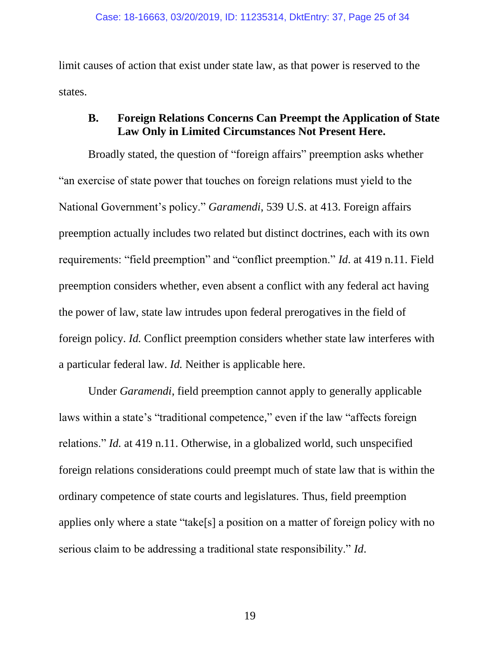limit causes of action that exist under state law, as that power is reserved to the states.

### <span id="page-24-0"></span>**B. Foreign Relations Concerns Can Preempt the Application of State Law Only in Limited Circumstances Not Present Here.**

Broadly stated, the question of "foreign affairs" preemption asks whether "an exercise of state power that touches on foreign relations must yield to the National Government's policy." *Garamendi*, 539 U.S. at 413. Foreign affairs preemption actually includes two related but distinct doctrines, each with its own requirements: "field preemption" and "conflict preemption." *Id*. at 419 n.11. Field preemption considers whether, even absent a conflict with any federal act having the power of law, state law intrudes upon federal prerogatives in the field of foreign policy. *Id.* Conflict preemption considers whether state law interferes with a particular federal law. *Id.* Neither is applicable here.

Under *Garamendi*, field preemption cannot apply to generally applicable laws within a state's "traditional competence," even if the law "affects foreign relations." *Id.* at 419 n.11. Otherwise, in a globalized world, such unspecified foreign relations considerations could preempt much of state law that is within the ordinary competence of state courts and legislatures. Thus, field preemption applies only where a state "take[s] a position on a matter of foreign policy with no serious claim to be addressing a traditional state responsibility." *Id*.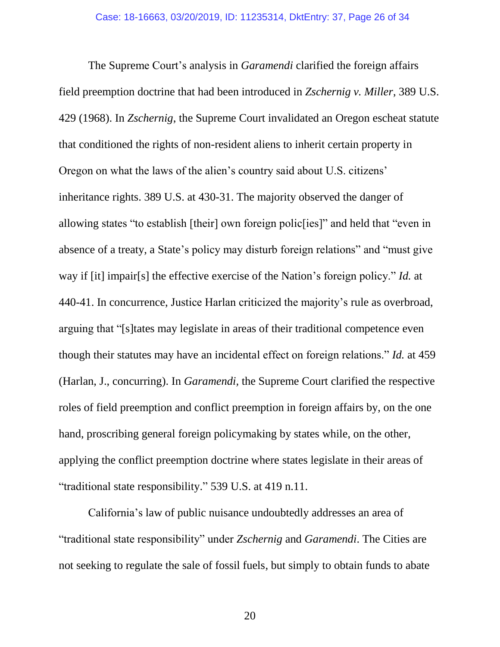The Supreme Court's analysis in *Garamendi* clarified the foreign affairs field preemption doctrine that had been introduced in *Zschernig v. Miller*, 389 U.S. 429 (1968). In *Zschernig*, the Supreme Court invalidated an Oregon escheat statute that conditioned the rights of non-resident aliens to inherit certain property in Oregon on what the laws of the alien's country said about U.S. citizens' inheritance rights. 389 U.S. at 430-31. The majority observed the danger of allowing states "to establish [their] own foreign polic[ies]" and held that "even in absence of a treaty, a State's policy may disturb foreign relations" and "must give way if [it] impair[s] the effective exercise of the Nation's foreign policy." *Id.* at 440-41. In concurrence, Justice Harlan criticized the majority's rule as overbroad, arguing that "[s]tates may legislate in areas of their traditional competence even though their statutes may have an incidental effect on foreign relations." *Id.* at 459 (Harlan, J., concurring). In *Garamendi,* the Supreme Court clarified the respective roles of field preemption and conflict preemption in foreign affairs by, on the one hand, proscribing general foreign policymaking by states while, on the other, applying the conflict preemption doctrine where states legislate in their areas of "traditional state responsibility." 539 U.S. at 419 n.11.

California's law of public nuisance undoubtedly addresses an area of "traditional state responsibility" under *Zschernig* and *Garamendi*. The Cities are not seeking to regulate the sale of fossil fuels, but simply to obtain funds to abate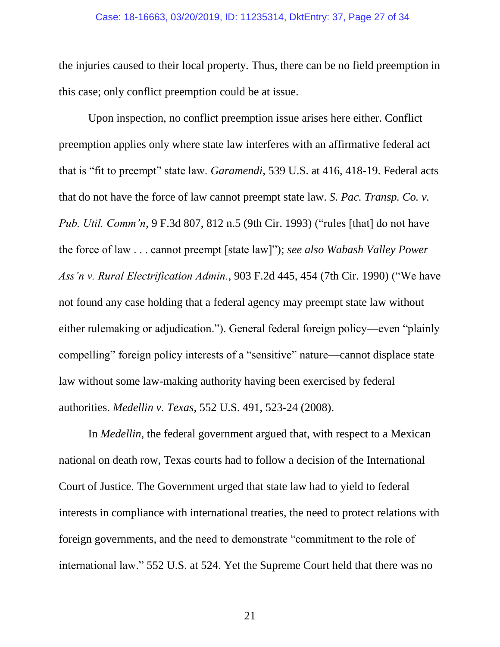#### Case: 18-16663, 03/20/2019, ID: 11235314, DktEntry: 37, Page 27 of 34

the injuries caused to their local property. Thus, there can be no field preemption in this case; only conflict preemption could be at issue.

Upon inspection, no conflict preemption issue arises here either. Conflict preemption applies only where state law interferes with an affirmative federal act that is "fit to preempt" state law. *Garamendi*, 539 U.S. at 416, 418-19. Federal acts that do not have the force of law cannot preempt state law. *S. Pac. Transp. Co. v. Pub. Util. Comm'n*, 9 F.3d 807, 812 n.5 (9th Cir. 1993) ("rules [that] do not have the force of law . . . cannot preempt [state law]"); *see also Wabash Valley Power Ass'n v. Rural Electrification Admin.*, 903 F.2d 445, 454 (7th Cir. 1990) ("We have not found any case holding that a federal agency may preempt state law without either rulemaking or adjudication."). General federal foreign policy—even "plainly compelling" foreign policy interests of a "sensitive" nature—cannot displace state law without some law-making authority having been exercised by federal authorities. *Medellin v. Texas,* 552 U.S. 491, 523-24 (2008).

In *Medellin*, the federal government argued that, with respect to a Mexican national on death row, Texas courts had to follow a decision of the International Court of Justice. The Government urged that state law had to yield to federal interests in compliance with international treaties, the need to protect relations with foreign governments, and the need to demonstrate "commitment to the role of international law." 552 U.S. at 524. Yet the Supreme Court held that there was no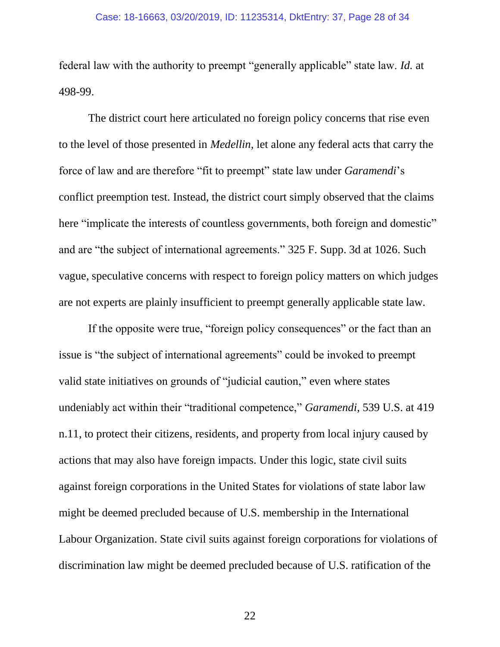federal law with the authority to preempt "generally applicable" state law. *Id.* at 498-99.

The district court here articulated no foreign policy concerns that rise even to the level of those presented in *Medellin*, let alone any federal acts that carry the force of law and are therefore "fit to preempt" state law under *Garamendi*'s conflict preemption test. Instead, the district court simply observed that the claims here "implicate the interests of countless governments, both foreign and domestic" and are "the subject of international agreements." 325 F. Supp. 3d at 1026. Such vague, speculative concerns with respect to foreign policy matters on which judges are not experts are plainly insufficient to preempt generally applicable state law.

If the opposite were true, "foreign policy consequences" or the fact than an issue is "the subject of international agreements" could be invoked to preempt valid state initiatives on grounds of "judicial caution," even where states undeniably act within their "traditional competence," *Garamendi*, 539 U.S. at 419 n.11, to protect their citizens, residents, and property from local injury caused by actions that may also have foreign impacts. Under this logic, state civil suits against foreign corporations in the United States for violations of state labor law might be deemed precluded because of U.S. membership in the International Labour Organization. State civil suits against foreign corporations for violations of discrimination law might be deemed precluded because of U.S. ratification of the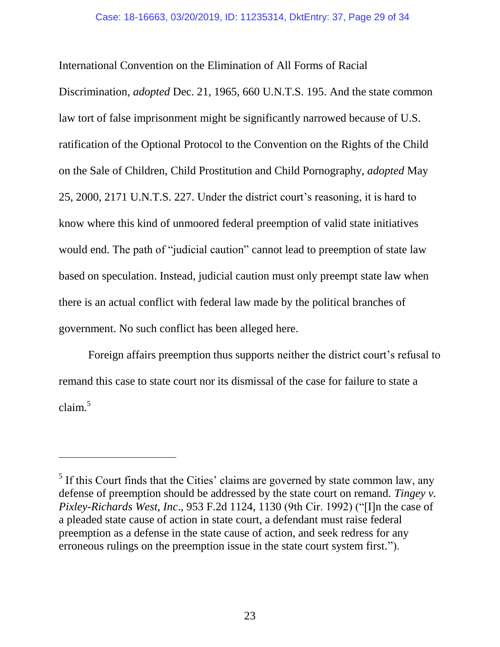International Convention on the Elimination of All Forms of Racial

Discrimination, *adopted* Dec. 21, 1965, 660 U.N.T.S. 195. And the state common law tort of false imprisonment might be significantly narrowed because of U.S. ratification of the Optional Protocol to the Convention on the Rights of the Child on the Sale of Children, Child Prostitution and Child Pornography, *adopted* May 25, 2000, 2171 U.N.T.S. 227. Under the district court's reasoning, it is hard to know where this kind of unmoored federal preemption of valid state initiatives would end. The path of "judicial caution" cannot lead to preemption of state law based on speculation. Instead, judicial caution must only preempt state law when there is an actual conflict with federal law made by the political branches of government. No such conflict has been alleged here.

Foreign affairs preemption thus supports neither the district court's refusal to remand this case to state court nor its dismissal of the case for failure to state a  $claim<sup>5</sup>$ 

 $<sup>5</sup>$  If this Court finds that the Cities' claims are governed by state common law, any</sup> defense of preemption should be addressed by the state court on remand. *Tingey v. Pixley-Richards West, Inc*., 953 F.2d 1124, 1130 (9th Cir. 1992) ("[I]n the case of a pleaded state cause of action in state court, a defendant must raise federal preemption as a defense in the state cause of action, and seek redress for any erroneous rulings on the preemption issue in the state court system first.").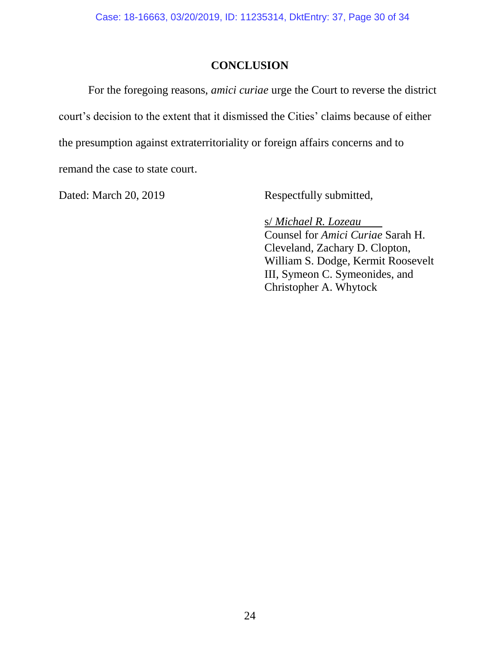### **CONCLUSION**

<span id="page-29-0"></span>For the foregoing reasons, *amici curiae* urge the Court to reverse the district court's decision to the extent that it dismissed the Cities' claims because of either the presumption against extraterritoriality or foreign affairs concerns and to remand the case to state court.

<span id="page-29-1"></span>

Dated: March 20, 2019 Respectfully submitted,

s/ *Michael R. Lozeau* Counsel for *Amici Curiae* Sarah H. Cleveland, Zachary D. Clopton, William S. Dodge, Kermit Roosevelt III, Symeon C. Symeonides, and Christopher A. Whytock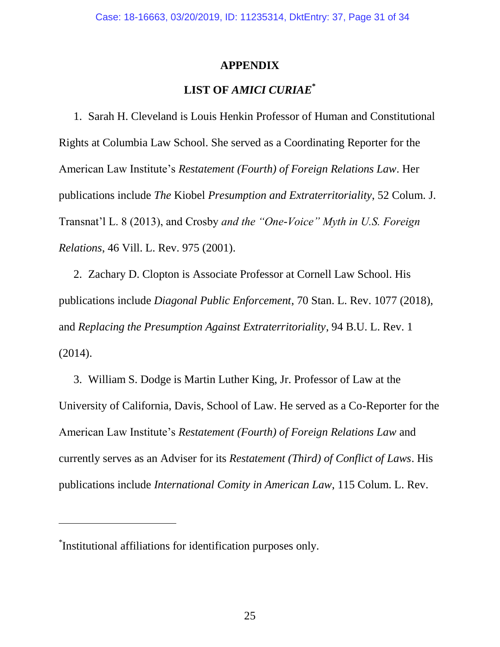### **APPENDIX**

### **LIST OF** *AMICI CURIAE***\***

1. Sarah H. Cleveland is Louis Henkin Professor of Human and Constitutional Rights at Columbia Law School. She served as a Coordinating Reporter for the American Law Institute's *Restatement (Fourth) of Foreign Relations Law*. Her publications include *The* Kiobel *Presumption and Extraterritoriality*, 52 Colum. J. Transnat'l L. 8 (2013), and Crosby *and the "One-Voice" Myth in U.S. Foreign Relations*, 46 Vill. L. Rev. 975 (2001).

2. Zachary D. Clopton is Associate Professor at Cornell Law School. His publications include *Diagonal Public Enforcement*, 70 Stan. L. Rev. 1077 (2018), and *Replacing the Presumption Against Extraterritoriality*, 94 B.U. L. Rev. 1 (2014).

3. William S. Dodge is Martin Luther King, Jr. Professor of Law at the University of California, Davis, School of Law. He served as a Co-Reporter for the American Law Institute's *Restatement (Fourth) of Foreign Relations Law* and currently serves as an Adviser for its *Restatement (Third) of Conflict of Laws*. His publications include *International Comity in American Law*, 115 Colum. L. Rev.

<sup>\*</sup> Institutional affiliations for identification purposes only.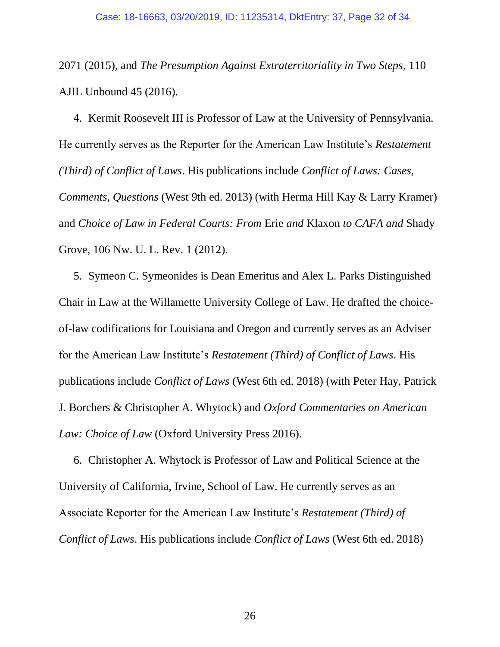2071 (2015), and *The Presumption Against Extraterritoriality in Two Steps*, 110 AJIL Unbound 45 (2016).

4. Kermit Roosevelt III is Professor of Law at the University of Pennsylvania. He currently serves as the Reporter for the American Law Institute's *Restatement (Third) of Conflict of Laws*. His publications include *Conflict of Laws: Cases, Comments, Questions* (West 9th ed. 2013) (with Herma Hill Kay & Larry Kramer) and *Choice of Law in Federal Courts: From* Erie *and* Klaxon *to CAFA and* Shady Grove, 106 Nw. U. L. Rev. 1 (2012).

5. Symeon C. Symeonides is Dean Emeritus and Alex L. Parks Distinguished Chair in Law at the Willamette University College of Law. He drafted the choiceof-law codifications for Louisiana and Oregon and currently serves as an Adviser for the American Law Institute's *Restatement (Third) of Conflict of Laws*. His publications include *Conflict of Laws* (West 6th ed. 2018) (with Peter Hay, Patrick J. Borchers & Christopher A. Whytock) and *Oxford Commentaries on American Law: Choice of Law* (Oxford University Press 2016).

6. Christopher A. Whytock is Professor of Law and Political Science at the University of California, Irvine, School of Law. He currently serves as an Associate Reporter for the American Law Institute's *Restatement (Third) of Conflict of Laws*. His publications include *Conflict of Laws* (West 6th ed. 2018)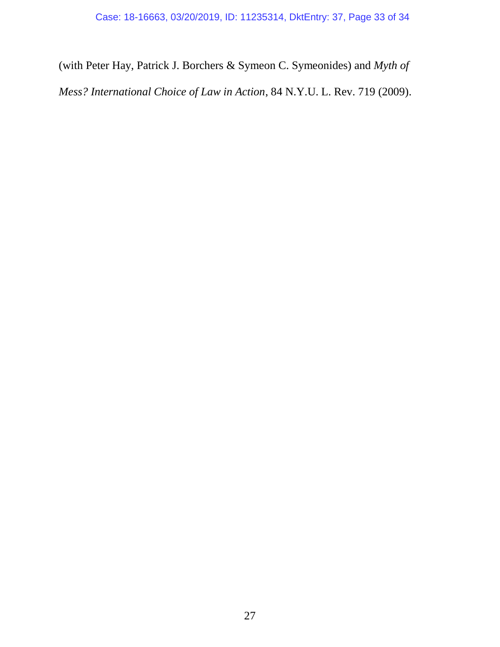(with Peter Hay, Patrick J. Borchers & Symeon C. Symeonides) and *Myth of Mess? International Choice of Law in Action*, 84 N.Y.U. L. Rev. 719 (2009).